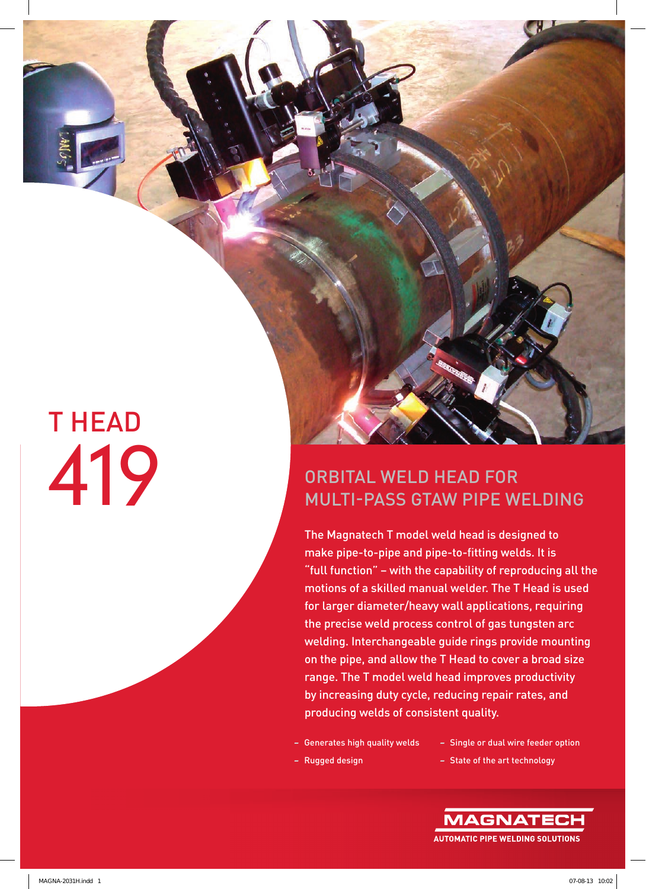# T HEAD

### ORBITAL WELD HEAD FOR MULTI-PASS GTAW PIPE WELDING

The Magnatech T model weld head is designed to make pipe-to-pipe and pipe-to-fitting welds. It is "full function" – with the capability of reproducing all the motions of a skilled manual welder. The T Head is used for larger diameter/heavy wall applications, requiring the precise weld process control of gas tungsten arc welding. Interchangeable guide rings provide mounting on the pipe, and allow the T Head to cover a broad size range. The T model weld head improves productivity by increasing duty cycle, reducing repair rates, and producing welds of consistent quality.

- Generates high quality welds
- Single or dual wire feeder option

47

- Rugged design
- State of the art technology

**AUTOMATIC PIPE WELDING SOLUTIONS**